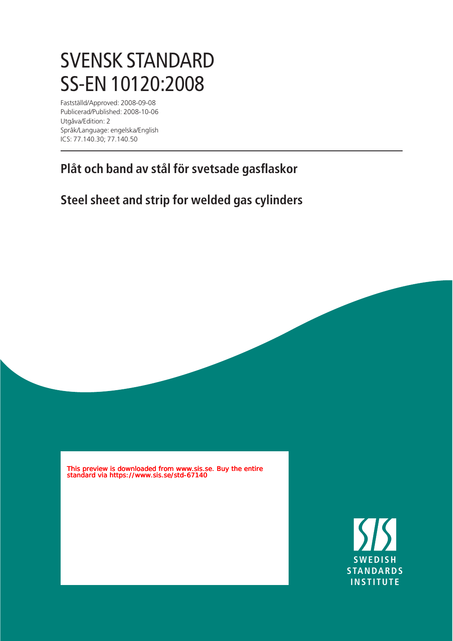## SVENSK STANDARD SS-EN 10120:2008

Fastställd/Approved: 2008-09-08 Publicerad/Published: 2008-10-06 Utgåva/Edition: 2 Språk/Language: engelska/English ICS: 77.140.30; 77.140.50

## **Plåt och band av stål för svetsade gasflaskor**

**Steel sheet and strip for welded gas cylinders**

This preview is downloaded from www.sis.se. Buy the entire standard via https://www.sis.se/std-67140

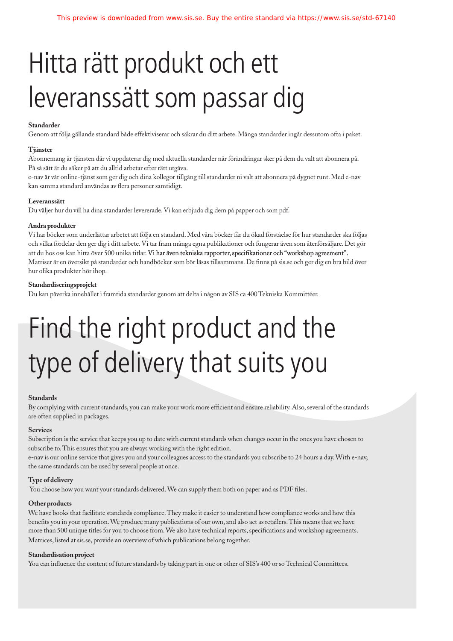## Hitta rätt produkt och ett leveranssätt som passar dig

#### **Standarder**

Genom att följa gällande standard både effektiviserar och säkrar du ditt arbete. Många standarder ingår dessutom ofta i paket.

#### **Tjänster**

Abonnemang är tjänsten där vi uppdaterar dig med aktuella standarder när förändringar sker på dem du valt att abonnera på. På så sätt är du säker på att du alltid arbetar efter rätt utgåva.

e-nav är vår online-tjänst som ger dig och dina kollegor tillgång till standarder ni valt att abonnera på dygnet runt. Med e-nav kan samma standard användas av flera personer samtidigt.

#### **Leveranssätt**

Du väljer hur du vill ha dina standarder levererade. Vi kan erbjuda dig dem på papper och som pdf.

#### **Andra produkter**

Vi har böcker som underlättar arbetet att följa en standard. Med våra böcker får du ökad förståelse för hur standarder ska följas och vilka fördelar den ger dig i ditt arbete. Vi tar fram många egna publikationer och fungerar även som återförsäljare. Det gör att du hos oss kan hitta över 500 unika titlar. Vi har även tekniska rapporter, specifikationer och "workshop agreement". Matriser är en översikt på standarder och handböcker som bör läsas tillsammans. De finns på sis.se och ger dig en bra bild över hur olika produkter hör ihop.

#### **Standardiseringsprojekt**

Du kan påverka innehållet i framtida standarder genom att delta i någon av SIS ca 400 Tekniska Kommittéer.

# Find the right product and the type of delivery that suits you

#### **Standards**

By complying with current standards, you can make your work more efficient and ensure reliability. Also, several of the standards are often supplied in packages.

#### **Services**

Subscription is the service that keeps you up to date with current standards when changes occur in the ones you have chosen to subscribe to. This ensures that you are always working with the right edition.

e-nav is our online service that gives you and your colleagues access to the standards you subscribe to 24 hours a day. With e-nav, the same standards can be used by several people at once.

#### **Type of delivery**

You choose how you want your standards delivered. We can supply them both on paper and as PDF files.

#### **Other products**

We have books that facilitate standards compliance. They make it easier to understand how compliance works and how this benefits you in your operation. We produce many publications of our own, and also act as retailers. This means that we have more than 500 unique titles for you to choose from. We also have technical reports, specifications and workshop agreements. Matrices, listed at sis.se, provide an overview of which publications belong together.

#### **Standardisation project**

You can influence the content of future standards by taking part in one or other of SIS's 400 or so Technical Committees.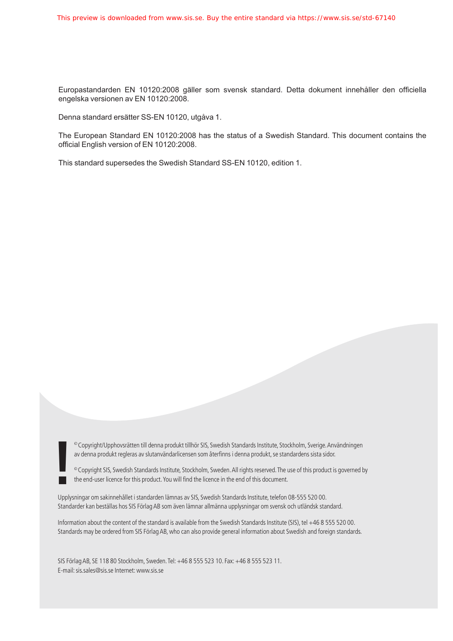Europastandarden EN 10120:2008 gäller som svensk standard. Detta dokument innehåller den officiella engelska versionen av EN 10120:2008.

Denna standard ersätter SS-EN 10120, utgåva 1.

The European Standard EN 10120:2008 has the status of a Swedish Standard. This document contains the official English version of EN 10120:2008.

This standard supersedes the Swedish Standard SS-EN 10120, edition 1.

av denna produkt regleras av slutanvändarlicensen som återfinns i denna produkt, se standardens sista sidor.

<sup>©</sup> Copyright/Upphovsrätten till denna produkt tillhör SIS, Swedish Standards Institute, Stockholm, Sverige. Användningen<br>av denna produkt regleras av slutanvändarlicensen som återfinns i denna produkt, se standardens sis

Upplysningar om sakinnehållet i standarden lämnas av SIS, Swedish Standards Institute, telefon 08-555 520 00. Standarder kan beställas hos SIS Förlag AB som även lämnar allmänna upplysningar om svensk och utländsk standard.

Information about the content of the standard is available from the Swedish Standards Institute (SIS), tel +46 8 555 520 00. Standards may be ordered from SIS Förlag AB, who can also provide general information about Swedish and foreign standards.

SIS Förlag AB, SE 118 80 Stockholm, Sweden. Tel: +46 8 555 523 10. Fax: +46 8 555 523 11. E-mail: sis.sales@sis.se Internet: www.sis.se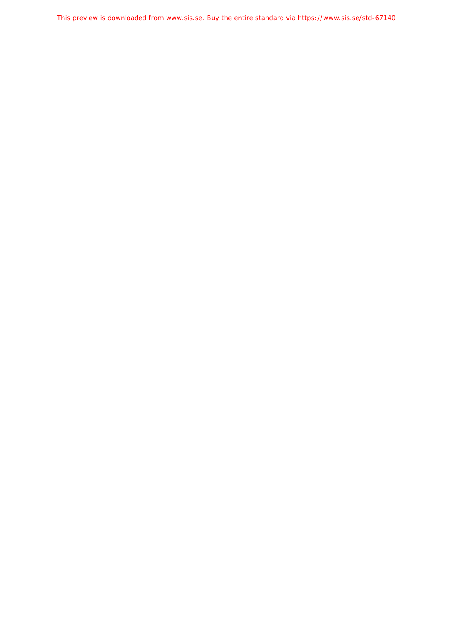This preview is downloaded from www.sis.se. Buy the entire standard via https://www.sis.se/std-67140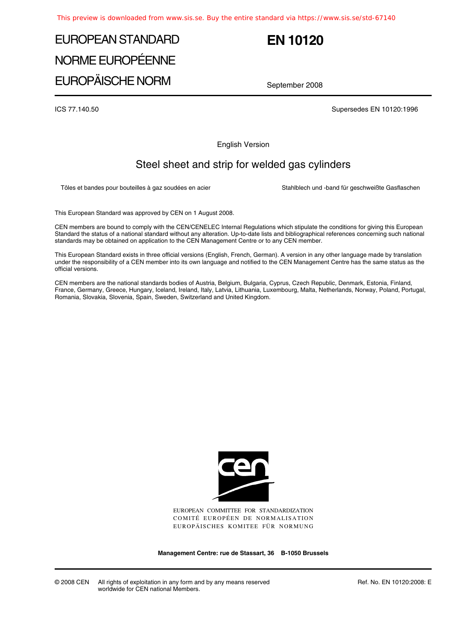## EUROPEAN STANDARD NORME EUROPÉENNE EUROPÄISCHE NORM

## **EN 10120**

September 2008

ICS 77.140.50 Supersedes EN 10120:1996

English Version

### Steel sheet and strip for welded gas cylinders

Tôles et bandes pour bouteilles à gaz soudées en acier Stahlblech und -band für geschweißte Gasflaschen

This European Standard was approved by CEN on 1 August 2008.

CEN members are bound to comply with the CEN/CENELEC Internal Regulations which stipulate the conditions for giving this European Standard the status of a national standard without any alteration. Up-to-date lists and bibliographical references concerning such national standards may be obtained on application to the CEN Management Centre or to any CEN member.

This European Standard exists in three official versions (English, French, German). A version in any other language made by translation under the responsibility of a CEN member into its own language and notified to the CEN Management Centre has the same status as the official versions.

CEN members are the national standards bodies of Austria, Belgium, Bulgaria, Cyprus, Czech Republic, Denmark, Estonia, Finland, France, Germany, Greece, Hungary, Iceland, Ireland, Italy, Latvia, Lithuania, Luxembourg, Malta, Netherlands, Norway, Poland, Portugal, Romania, Slovakia, Slovenia, Spain, Sweden, Switzerland and United Kingdom.



EUROPEAN COMMITTEE FOR STANDARDIZATION COMITÉ EUROPÉEN DE NORMALISATION EUROPÄISCHES KOMITEE FÜR NORMUNG

**Management Centre: rue de Stassart, 36 B-1050 Brussels**

© 2008 CEN All rights of exploitation in any form and by any means reserved worldwide for CEN national Members.

Ref. No. EN 10120:2008: E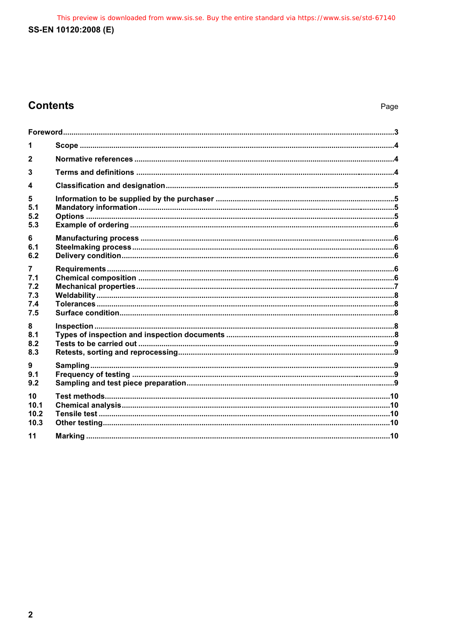This preview is downloaded from www.sis.se. Buy the entire standard via https://www.sis.se/std-67140 SS-EN 10120:2008 (E)

## **Contents**

| 1                                    |  |  |
|--------------------------------------|--|--|
| $\mathbf{2}$                         |  |  |
| 3                                    |  |  |
| $\boldsymbol{A}$                     |  |  |
| 5<br>5.1<br>5.2<br>5.3               |  |  |
| 6<br>6.1<br>6.2                      |  |  |
| 7<br>7.1<br>7.2<br>7.3<br>7.4<br>7.5 |  |  |
| 8<br>8.1<br>8.2<br>8.3               |  |  |
| 9<br>9.1<br>9.2                      |  |  |
| 10<br>10.1<br>10.2<br>10.3           |  |  |
| 11                                   |  |  |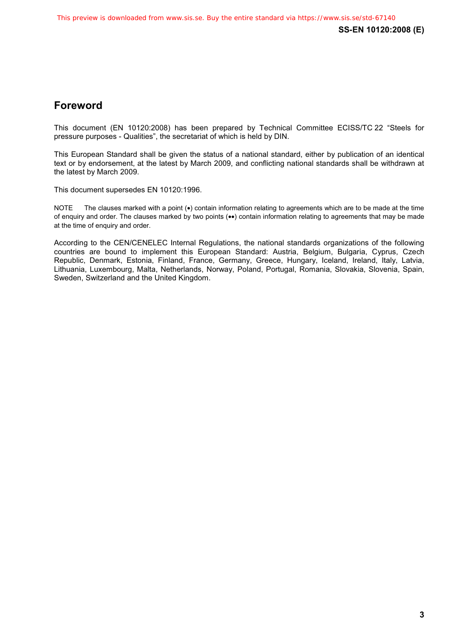### **Foreword**

This document (EN 10120:2008) has been prepared by Technical Committee ECISS/TC 22 "Steels for pressure purposes - Qualities", the secretariat of which is held by DIN.

This European Standard shall be given the status of a national standard, either by publication of an identical text or by endorsement, at the latest by March 2009, and conflicting national standards shall be withdrawn at the latest by March 2009.

This document supersedes EN 10120:1996.

NOTE The clauses marked with a point ( $\bullet$ ) contain information relating to agreements which are to be made at the time of enquiry and order. The clauses marked by two points (••) contain information relating to agreements that may be made at the time of enquiry and order.

According to the CEN/CENELEC Internal Regulations, the national standards organizations of the following countries are bound to implement this European Standard: Austria, Belgium, Bulgaria, Cyprus, Czech Republic, Denmark, Estonia, Finland, France, Germany, Greece, Hungary, Iceland, Ireland, Italy, Latvia, Lithuania, Luxembourg, Malta, Netherlands, Norway, Poland, Portugal, Romania, Slovakia, Slovenia, Spain, Sweden, Switzerland and the United Kingdom.